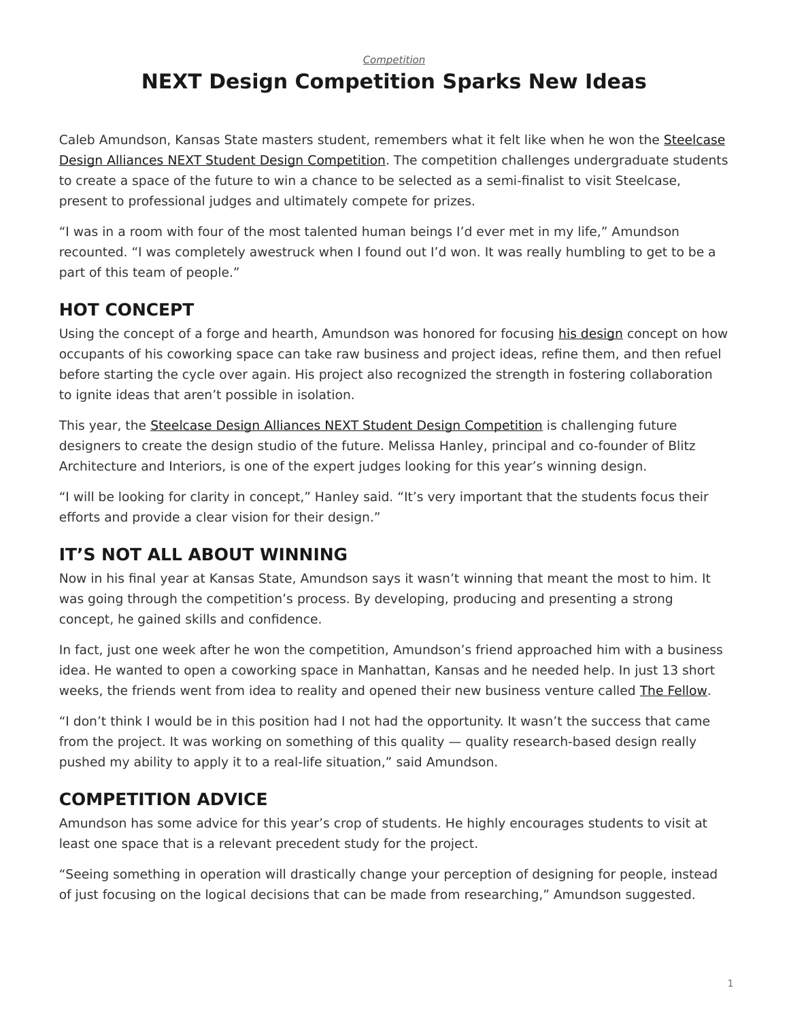#### *[Competition](https://www.steelcase.com/research/topics/competition/)*

# <span id="page-0-0"></span>**NEXT Design Competition Sparks New Ideas**

Caleb Amundson, Kansas State masters student, remembers what it felt like when he won the [Steelcase](https://www.steelcase.com/discover/information/architects-and-designers/next-student-design-competition/) [Design Alliances NEXT Student Design Competition](https://www.steelcase.com/discover/information/architects-and-designers/next-student-design-competition/). The competition challenges undergraduate students to create a space of the future to win a chance to be selected as a semi-finalist to visit Steelcase, present to professional judges and ultimately compete for prizes.

"I was in a room with four of the most talented human beings I'd ever met in my life," Amundson recounted. "I was completely awestruck when I found out I'd won. It was really humbling to get to be a part of this team of people."

## **HOT CONCEPT**

Using the concept of a forge and hearth, Amundson was honored for focusing [his design](http://myturnstone.com/wp-content/uploads/next/Caleb.pdf) concept on how occupants of his coworking space can take raw business and project ideas, refine them, and then refuel before starting the cycle over again. His project also recognized the strength in fostering collaboration to ignite ideas that aren't possible in isolation.

This year, the [Steelcase Design Alliances NEXT Student Design Competition](https://www.steelcase.com/discover/information/architects-and-designers/next-student-design-competition/) is challenging future designers to create the design studio of the future. Melissa Hanley, principal and co-founder of Blitz Architecture and Interiors, is one of the expert judges looking for this year's winning design.

"I will be looking for clarity in concept," Hanley said. "It's very important that the students focus their efforts and provide a clear vision for their design."

## **IT'S NOT ALL ABOUT WINNING**

Now in his final year at Kansas State, Amundson says it wasn't winning that meant the most to him. It was going through the competition's process. By developing, producing and presenting a strong concept, he gained skills and confidence.

In fact, just one week after he won the competition, Amundson's friend approached him with a business idea. He wanted to open a coworking space in Manhattan, Kansas and he needed help. In just 13 short weeks, the friends went from idea to reality and opened their new business venture called [The Fellow](http://www.thefellowmhk.com/).

"I don't think I would be in this position had I not had the opportunity. It wasn't the success that came from the project. It was working on something of this quality — quality research-based design really pushed my ability to apply it to a real-life situation," said Amundson.

## **COMPETITION ADVICE**

Amundson has some advice for this year's crop of students. He highly encourages students to visit at least one space that is a relevant precedent study for the project.

"Seeing something in operation will drastically change your perception of designing for people, instead of just focusing on the logical decisions that can be made from researching," Amundson suggested.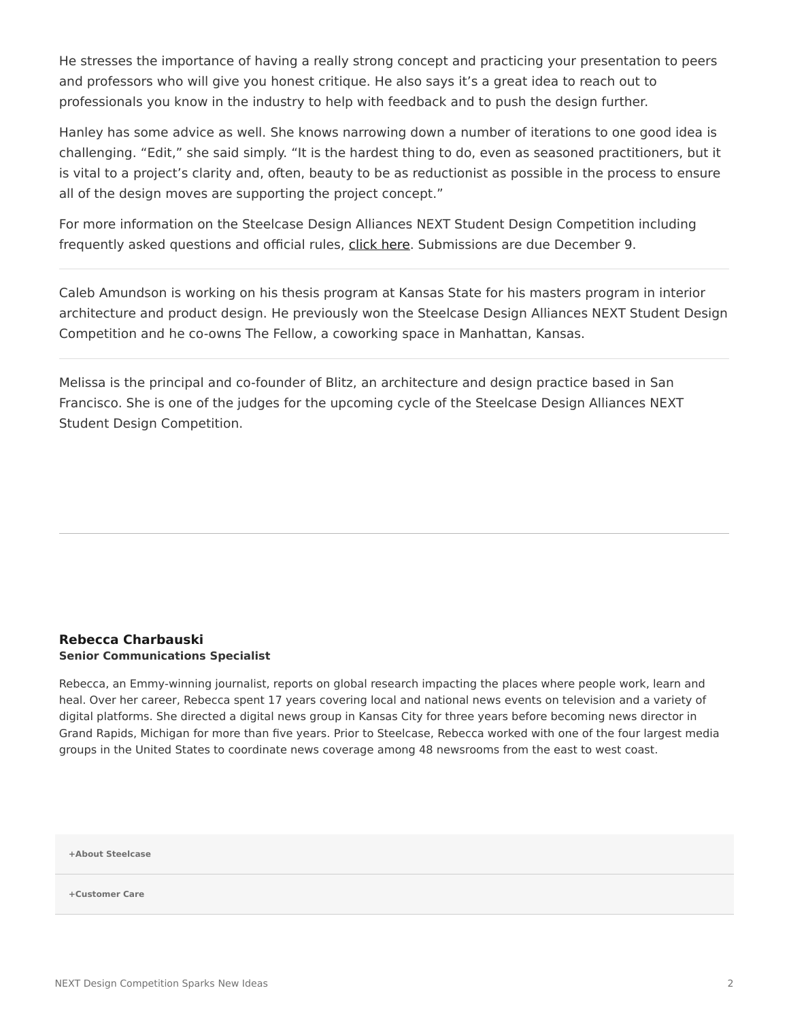He stresses the importance of having a really strong concept and practicing your presentation to peers and professors who will give you honest critique. He also says it's a great idea to reach out to professionals you know in the industry to help with feedback and to push the design further.

Hanley has some advice as well. She knows narrowing down a number of iterations to one good idea is challenging. "Edit," she said simply. "It is the hardest thing to do, even as seasoned practitioners, but it is vital to a project's clarity and, often, beauty to be as reductionist as possible in the process to ensure all of the design moves are supporting the project concept."

For more information on the Steelcase Design Alliances NEXT Student Design Competition including frequently asked questions and official rules, [click here](https://www.steelcase.com/discover/information/architects-and-designers/next-student-design-competition/). Submissions are due December 9.

Caleb Amundson is working on his thesis program at Kansas State for his masters program in interior architecture and product design. He previously won the Steelcase Design Alliances NEXT Student Design Competition and he co-owns The Fellow, a coworking space in Manhattan, Kansas.

Melissa is the principal and co-founder of Blitz, an architecture and design practice based in San Francisco. She is one of the judges for the upcoming cycle of the Steelcase Design Alliances NEXT Student Design Competition.

#### **[Rebecca Charbauski](https://www.steelcase.com/research/articles/author/rcharbausteelcase-com/) Senior Communications Specialist**

Rebecca, an Emmy-winning journalist, reports on global research impacting the places where people work, learn and heal. Over her career, Rebecca spent 17 years covering local and national news events on television and a variety of digital platforms. She directed a digital news group in Kansas City for three years before becoming news director in Grand Rapids, Michigan for more than five years. Prior to Steelcase, Rebecca worked with one of the four largest media groups in the United States to coordinate news coverage among 48 newsrooms from the east to west coast.

**[+About Steelcase](https://www.steelcase.com/discover/steelcase/our-company/)**

**[+Customer Care](#page-0-0)**